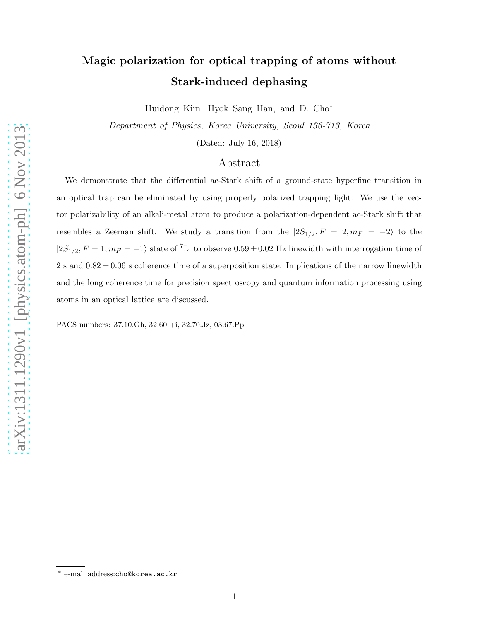## Magic polarization for optical trapping of atoms without Stark-induced dephasing

Huidong Kim, Hyok Sang Han, and D. Cho<sup>∗</sup>

Department of Physics, Korea University, Seoul 136-713, Korea

(Dated: July 16, 2018)

## Abstract

We demonstrate that the differential ac-Stark shift of a ground-state hyperfine transition in an optical trap can be eliminated by using properly polarized trapping light. We use the vector polarizability of an alkali-metal atom to produce a polarization-dependent ac-Stark shift that resembles a Zeeman shift. We study a transition from the  $|2S_{1/2}, F = 2, m_F = -2\rangle$  to the  $|2S_{1/2}, F = 1, m_F = -1\rangle$  state of <sup>7</sup>Li to observe  $0.59 \pm 0.02$  Hz linewidth with interrogation time of 2 s and  $0.82 \pm 0.06$  s coherence time of a superposition state. Implications of the narrow linewidth and the long coherence time for precision spectroscopy and quantum information processing using atoms in an optical lattice are discussed.

PACS numbers: 37.10.Gh, 32.60.+i, 32.70.Jz, 03.67.Pp

<sup>∗</sup> e-mail address:cho@korea.ac.kr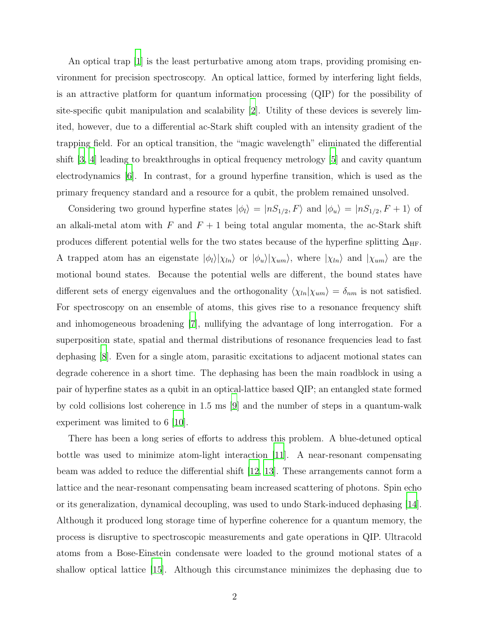An optical trap [1] is the least perturbative among atom traps, providing promising environment for precision spectroscopy. An optical lattice, formed by interfering light fields, is an attractive platform for quantum information processing (QIP) for the possibility of site-specific qubit manipulation and scalability [2]. Utility of these devices is severely limited, however, due to a differential ac-Stark shift coupled with an intensity gradient of the trapping field. For an optical transition, the "magic wavelength" eliminated the differential shift [3, 4] leading to breakthroughs in optical frequency metrology [5] and cavity quantum electrodynamics [6]. In contrast, for a ground hyperfine transition, which is used as the primary frequency standard and a resource for a qubit, the problem remained unsolved.

Considering two ground hyperfine states  $|\phi_l\rangle = |nS_{1/2}, F\rangle$  and  $|\phi_u\rangle = |nS_{1/2}, F + 1\rangle$  of an alkali-metal atom with  $F$  and  $F + 1$  being total angular momenta, the ac-Stark shift produces different potential wells for the two states because of the hyperfine splitting  $\Delta_{\text{HF}}$ . A trapped atom has an eigenstate  $|\phi_l\rangle|\chi_{ln}\rangle$  or  $|\phi_u\rangle|\chi_{um}\rangle$ , where  $|\chi_{ln}\rangle$  and  $|\chi_{um}\rangle$  are the motional bound states. Because the potential wells are different, the bound states have different sets of energy eigenvalues and the orthogonality  $\langle \chi_{ln} | \chi_{um} \rangle = \delta_{nm}$  is not satisfied. For spectroscopy on an ensemble of atoms, this gives rise to a resonance frequency shift and inhomogeneous broadening [7], nullifying the advantage of long interrogation. For a superposition state, spatial and thermal distributions of resonance frequencies lead to fast dephasing [8]. Even for a single atom, parasitic excitations to adjacent motional states can degrade coherence in a short time. The dephasing has been the main roadblock in using a pair of hyperfine states as a qubit in an optical-lattice based QIP; an entangled state formed by cold collisions lost coherence in 1.5 ms [9] and the number of steps in a quantum-walk experiment was limited to 6 [10].

There has been a long series of efforts to address this problem. A blue-detuned optical bottle was used to minimize atom-light interaction  $|11|$ . A near-resonant compensating beam was added to reduce the differential shift [12, 13]. These arrangements cannot form a lattice and the near-resonant compensating beam increased scattering of photons. Spin echo or its generalization, dynamical decoupling, was used to undo Stark-induced dephasing [14]. Although it produced long storage time of hyperfine coherence for a quantum memory, the process is disruptive to spectroscopic measurements and gate operations in QIP. Ultracold atoms from a Bose-Einstein condensate were loaded to the ground motional states of a shallow optical lattice [15]. Although this circumstance minimizes the dephasing due to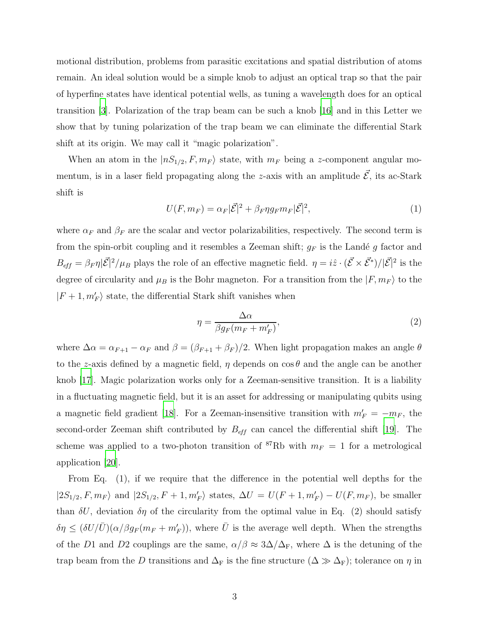motional distribution, problems from parasitic excitations and spatial distribution of atoms remain. An ideal solution would be a simple knob to adjust an optical trap so that the pair of hyperfine states have identical potential wells, as tuning a wavelength does for an optical transition [3]. Polarization of the trap beam can be such a knob [16] and in this Letter we show that by tuning polarization of the trap beam we can eliminate the differential Stark shift at its origin. We may call it "magic polarization".

When an atom in the  $|nS_{1/2}, F, m_F\rangle$  state, with  $m_F$  being a z-component angular momentum, is in a laser field propagating along the z-axis with an amplitude  $\vec{\mathcal{E}}$ , its ac-Stark shift is

$$
U(F, m_F) = \alpha_F |\vec{\mathcal{E}}|^2 + \beta_F \eta g_F m_F |\vec{\mathcal{E}}|^2, \tag{1}
$$

where  $\alpha_F$  and  $\beta_F$  are the scalar and vector polarizabilities, respectively. The second term is from the spin-orbit coupling and it resembles a Zeeman shift;  $q_F$  is the Landé g factor and  $B_{\text{eff}} = \beta_F \eta |\mathcal{E}|^2 / \mu_B$  plays the role of an effective magnetic field.  $\eta = i\hat{z} \cdot (\mathcal{E} \times \mathcal{E}^*) / |\mathcal{E}|^2$  is the degree of circularity and  $\mu_B$  is the Bohr magneton. For a transition from the  $|F, m_F\rangle$  to the  $|F+1,m_F'\rangle$  state, the differential Stark shift vanishes when

$$
\eta = \frac{\Delta \alpha}{\beta g_F (m_F + m'_F)},\tag{2}
$$

where  $\Delta \alpha = \alpha_{F+1} - \alpha_F$  and  $\beta = (\beta_{F+1} + \beta_F)/2$ . When light propagation makes an angle  $\theta$ to the z-axis defined by a magnetic field,  $\eta$  depends on  $\cos \theta$  and the angle can be another knob [17]. Magic polarization works only for a Zeeman-sensitive transition. It is a liability in a fluctuating magnetic field, but it is an asset for addressing or manipulating qubits using a magnetic field gradient [18]. For a Zeeman-insensitive transition with  $m'_F = -m_F$ , the second-order Zeeman shift contributed by  $B_{\text{eff}}$  can cancel the differential shift [19]. The scheme was applied to a two-photon transition of  ${}^{87}$ Rb with  $m_F = 1$  for a metrological application [20].

From Eq. (1), if we require that the difference in the potential well depths for the  $|2S_{1/2}, F, m_F\rangle$  and  $|2S_{1/2}, F + 1, m'_F\rangle$  states,  $\Delta U = U(F + 1, m'_F) - U(F, m_F)$ , be smaller than  $\delta U$ , deviation  $\delta \eta$  of the circularity from the optimal value in Eq. (2) should satisfy  $\delta \eta \leq (\delta U/\bar{U})(\alpha/\beta g_F(m_F + m_F'))$ , where  $\bar{U}$  is the average well depth. When the strengths of the D1 and D2 couplings are the same,  $\alpha/\beta \approx 3\Delta/\Delta_F$ , where  $\Delta$  is the detuning of the trap beam from the D transitions and  $\Delta_F$  is the fine structure  $(\Delta \gg \Delta_F)$ ; tolerance on  $\eta$  in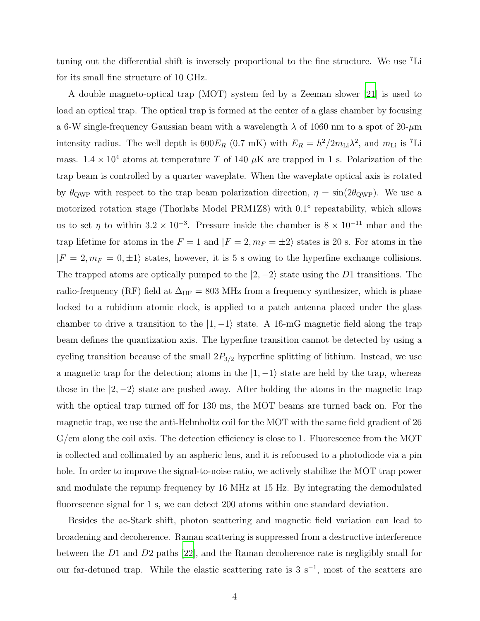tuning out the differential shift is inversely proportional to the fine structure. We use <sup>7</sup>Li for its small fine structure of 10 GHz.

A double magneto-optical trap (MOT) system fed by a Zeeman slower [\[21](#page-7-0)] is used to load an optical trap. The optical trap is formed at the center of a glass chamber by focusing a 6-W single-frequency Gaussian beam with a wavelength  $\lambda$  of 1060 nm to a spot of 20- $\mu$ m intensity radius. The well depth is  $600E_R$  (0.7 mK) with  $E_R = h^2/2m_{\text{Li}}\lambda^2$ , and  $m_{\text{Li}}$  is <sup>7</sup>Li mass.  $1.4 \times 10^4$  atoms at temperature T of 140  $\mu$ K are trapped in 1 s. Polarization of the trap beam is controlled by a quarter waveplate. When the waveplate optical axis is rotated by  $\theta_{\text{QWP}}$  with respect to the trap beam polarization direction,  $\eta = \sin(2\theta_{\text{QWP}})$ . We use a motorized rotation stage (Thorlabs Model PRM1Z8) with 0.1<sup>°</sup> repeatability, which allows us to set  $\eta$  to within  $3.2 \times 10^{-3}$ . Pressure inside the chamber is  $8 \times 10^{-11}$  mbar and the trap lifetime for atoms in the  $F = 1$  and  $|F = 2, m_F = \pm 2\rangle$  states is 20 s. For atoms in the  $|F = 2, m_F = 0, \pm 1\rangle$  states, however, it is 5 s owing to the hyperfine exchange collisions. The trapped atoms are optically pumped to the  $|2, -2\rangle$  state using the D1 transitions. The radio-frequency (RF) field at  $\Delta_{\text{HF}} = 803$  MHz from a frequency synthesizer, which is phase locked to a rubidium atomic clock, is applied to a patch antenna placed under the glass chamber to drive a transition to the  $|1, -1\rangle$  state. A 16-mG magnetic field along the trap beam defines the quantization axis. The hyperfine transition cannot be detected by using a cycling transition because of the small  $2P_{3/2}$  hyperfine splitting of lithium. Instead, we use a magnetic trap for the detection; atoms in the  $|1, -1\rangle$  state are held by the trap, whereas those in the  $|2, -2\rangle$  state are pushed away. After holding the atoms in the magnetic trap with the optical trap turned off for 130 ms, the MOT beams are turned back on. For the magnetic trap, we use the anti-Helmholtz coil for the MOT with the same field gradient of 26 G/cm along the coil axis. The detection efficiency is close to 1. Fluorescence from the MOT is collected and collimated by an aspheric lens, and it is refocused to a photodiode via a pin hole. In order to improve the signal-to-noise ratio, we actively stabilize the MOT trap power and modulate the repump frequency by 16 MHz at 15 Hz. By integrating the demodulated fluorescence signal for 1 s, we can detect 200 atoms within one standard deviation.

Besides the ac-Stark shift, photon scattering and magnetic field variation can lead to broadening and decoherence. Raman scattering is suppressed from a destructive interference between the D1 and D2 paths [\[22](#page-7-1)], and the Raman decoherence rate is negligibly small for our far-detuned trap. While the elastic scattering rate is  $3 s^{-1}$ , most of the scatters are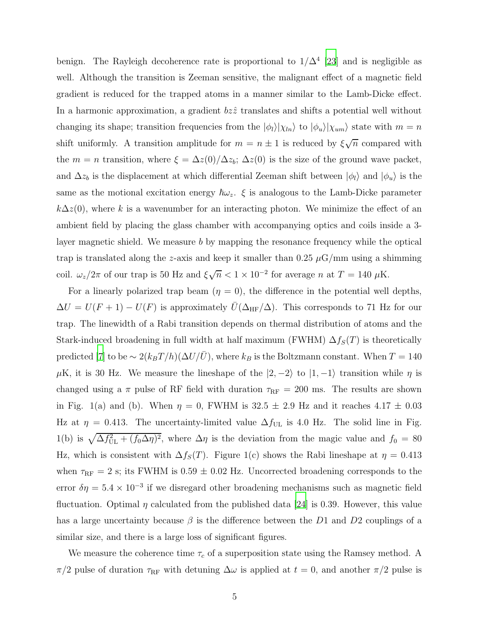benign. The Rayleigh decoherence rate is proportional to  $1/\Delta^4$  [\[23\]](#page-7-2) and is negligible as well. Although the transition is Zeeman sensitive, the malignant effect of a magnetic field gradient is reduced for the trapped atoms in a manner similar to the Lamb-Dicke effect. In a harmonic approximation, a gradient  $bz\hat{z}$  translates and shifts a potential well without changing its shape; transition frequencies from the  $|\phi_l\rangle|\chi_{ln}\rangle$  to  $|\phi_u\rangle|\chi_{um}\rangle$  state with  $m = n$ shift uniformly. A transition amplitude for  $m = n \pm 1$  is reduced by  $\xi \sqrt{n}$  compared with the  $m = n$  transition, where  $\xi = \Delta z(0)/\Delta z_b$ ;  $\Delta z(0)$  is the size of the ground wave packet, and  $\Delta z_b$  is the displacement at which differential Zeeman shift between  $|\phi_l\rangle$  and  $|\phi_u\rangle$  is the same as the motional excitation energy  $\hbar\omega_z$ .  $\xi$  is analogous to the Lamb-Dicke parameter  $k\Delta z(0)$ , where k is a wavenumber for an interacting photon. We minimize the effect of an ambient field by placing the glass chamber with accompanying optics and coils inside a 3 layer magnetic shield. We measure b by mapping the resonance frequency while the optical trap is translated along the z-axis and keep it smaller than 0.25  $\mu$ G/mm using a shimming coil.  $\omega_z/2\pi$  of our trap is 50 Hz and  $\xi\sqrt{n} < 1 \times 10^{-2}$  for average n at  $T = 140 \mu\text{K}$ .

For a linearly polarized trap beam  $(\eta = 0)$ , the difference in the potential well depths,  $\Delta U = U(F + 1) - U(F)$  is approximately  $\bar{U}(\Delta_{\text{HF}}/\Delta)$ . This corresponds to 71 Hz for our trap. The linewidth of a Rabi transition depends on thermal distribution of atoms and the Stark-induced broadening in full width at half maximum (FWHM)  $\Delta f_S(T)$  is theoretically predicted [7] to be  $\sim 2(k_BT/h)(\Delta U/\bar{U})$ , where  $k_B$  is the Boltzmann constant. When  $T = 140$  $\mu$ K, it is 30 Hz. We measure the lineshape of the  $|2, -2\rangle$  to  $|1, -1\rangle$  transition while  $\eta$  is changed using a  $\pi$  pulse of RF field with duration  $\tau_{\rm RF} = 200$  ms. The results are shown in Fig. 1(a) and (b). When  $\eta = 0$ , FWHM is  $32.5 \pm 2.9$  Hz and it reaches  $4.17 \pm 0.03$ Hz at  $\eta = 0.413$ . The uncertainty-limited value  $\Delta f_{\text{UL}}$  is 4.0 Hz. The solid line in Fig. 1(b) is  $\sqrt{\Delta f_{\text{UL}}^2 + (f_0 \Delta \eta)^2}$ , where  $\Delta \eta$  is the deviation from the magic value and  $f_0 = 80$ Hz, which is consistent with  $\Delta f_S(T)$ . Figure 1(c) shows the Rabi lineshape at  $\eta = 0.413$ when  $\tau_{\rm RF} = 2$  s; its FWHM is 0.59  $\pm$  0.02 Hz. Uncorrected broadening corresponds to the error  $\delta \eta = 5.4 \times 10^{-3}$  if we disregard other broadening mechanisms such as magnetic field fluctuation. Optimal  $\eta$  calculated from the published data [24] is 0.39. However, this value has a large uncertainty because  $\beta$  is the difference between the D1 and D2 couplings of a similar size, and there is a large loss of significant figures.

We measure the coherence time  $\tau_c$  of a superposition state using the Ramsey method. A  $\pi/2$  pulse of duration  $\tau_{\rm RF}$  with detuning  $\Delta\omega$  is applied at  $t=0$ , and another  $\pi/2$  pulse is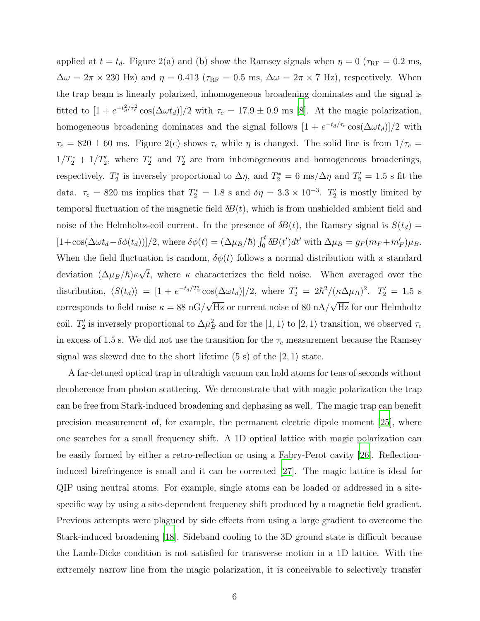applied at  $t = t_d$ . Figure 2(a) and (b) show the Ramsey signals when  $\eta = 0$  ( $\tau_{\rm RF} = 0.2$  ms,  $\Delta\omega = 2\pi \times 230$  Hz) and  $\eta = 0.413$  ( $\tau_{RF} = 0.5$  ms,  $\Delta\omega = 2\pi \times 7$  Hz), respectively. When the trap beam is linearly polarized, inhomogeneous broadening dominates and the signal is fitted to  $[1 + e^{-t_d^2/\tau_c^2} \cos(\Delta \omega t_d)]/2$  with  $\tau_c = 17.9 \pm 0.9$  ms [8]. At the magic polarization, homogeneous broadening dominates and the signal follows  $[1 + e^{-t_d/\tau_c} \cos(\Delta \omega t_d)]/2$  with  $\tau_c = 820 \pm 60$  ms. Figure 2(c) shows  $\tau_c$  while  $\eta$  is changed. The solid line is from  $1/\tau_c =$  $1/T_2^* + 1/T_2'$ , where  $T_2^*$  $T_2^*$  and  $T_2'$ 2 are from inhomogeneous and homogeneous broadenings, respectively.  $T_2^*$ <sup>\*</sup>/<sub>2</sub> is inversely proportional to  $\Delta \eta$ , and  $T_2^* = 6 \text{ ms}/\Delta \eta$  and  $T_2' = 1.5 \text{ s fit the}$ data.  $\tau_c = 820$  ms implies that  $T_2^* = 1.8$  s and  $\delta \eta = 3.3 \times 10^{-3}$ .  $T_2'$  $y'_2$  is mostly limited by temporal fluctuation of the magnetic field  $\delta B(t)$ , which is from unshielded ambient field and noise of the Helmholtz-coil current. In the presence of  $\delta B(t)$ , the Ramsey signal is  $S(t_d)$  =  $[1+\cos(\Delta\omega t_d-\delta\phi(t_d))]$ /2, where  $\delta\phi(t)=(\Delta\mu_B/\hbar)\int_0^t\delta B(t')dt'$  with  $\Delta\mu_B=g_F(m_F+m_F')\mu_B$ . When the field fluctuation is random,  $\delta\phi(t)$  follows a normal distribution with a standard deviation  $(\Delta \mu_B/\hbar)\kappa \sqrt{t}$ , where  $\kappa$  characterizes the field noise. When averaged over the distribution,  $\langle S(t_d) \rangle = [1 + e^{-t_d/T'_2} \cos(\Delta \omega t_d)]/2$ , where  $T'_2 = 2\hbar^2/(\kappa \Delta \mu_B)^2$ .  $T'_2 = 1.5$  s corresponds to field noise  $\kappa = 88 \text{ nG}/\sqrt{\text{Hz}}$  or current noise of 80 nA/ $\sqrt{\text{Hz}}$  for our Helmholtz  $\text{coil. } T_2'$  $\alpha_2'$  is inversely proportional to  $\Delta \mu_B^2$  and for the  $|1,1\rangle$  to  $|2,1\rangle$  transition, we observed  $\tau_c$ in excess of 1.5 s. We did not use the transition for the  $\tau_c$  measurement because the Ramsey signal was skewed due to the short lifetime (5 s) of the  $|2,1\rangle$  state.

A far-detuned optical trap in ultrahigh vacuum can hold atoms for tens of seconds without decoherence from photon scattering. We demonstrate that with magic polarization the trap can be free from Stark-induced broadening and dephasing as well. The magic trap can benefit precision measurement of, for example, the permanent electric dipole moment [\[25](#page-7-3)], where one searches for a small frequency shift. A 1D optical lattice with magic polarization can be easily formed by either a retro-reflection or using a Fabry-Perot cavity [\[26\]](#page-7-4). Reflectioninduced birefringence is small and it can be corrected [\[27](#page-7-5)]. The magic lattice is ideal for QIP using neutral atoms. For example, single atoms can be loaded or addressed in a sitespecific way by using a site-dependent frequency shift produced by a magnetic field gradient. Previous attempts were plagued by side effects from using a large gradient to overcome the Stark-induced broadening [18]. Sideband cooling to the 3D ground state is difficult because the Lamb-Dicke condition is not satisfied for transverse motion in a 1D lattice. With the extremely narrow line from the magic polarization, it is conceivable to selectively transfer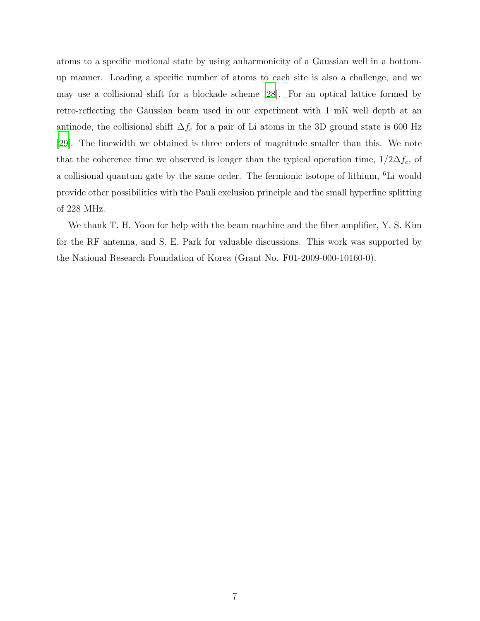atoms to a specific motional state by using anharmonicity of a Gaussian well in a bottomup manner. Loading a specific number of atoms to each site is also a challenge, and we may use a collisional shift for a blockade scheme [28]. For an optical lattice formed by retro-reflecting the Gaussian beam used in our experiment with 1 mK well depth at an antinode, the collisional shift  $\Delta f_c$  for a pair of Li atoms in the 3D ground state is 600 Hz [29]. The linewidth we obtained is three orders of magnitude smaller than this. We note that the coherence time we observed is longer than the typical operation time,  $1/2\Delta f_c$ , of a collisional quantum gate by the same order. The fermionic isotope of lithium, <sup>6</sup>Li would provide other possibilities with the Pauli exclusion principle and the small hyperfine splitting of 228 MHz.

We thank T. H. Yoon for help with the beam machine and the fiber amplifier, Y. S. Kim for the RF antenna, and S. E. Park for valuable discussions. This work was supported by the National Research Foundation of Korea (Grant No. F01-2009-000-10160-0).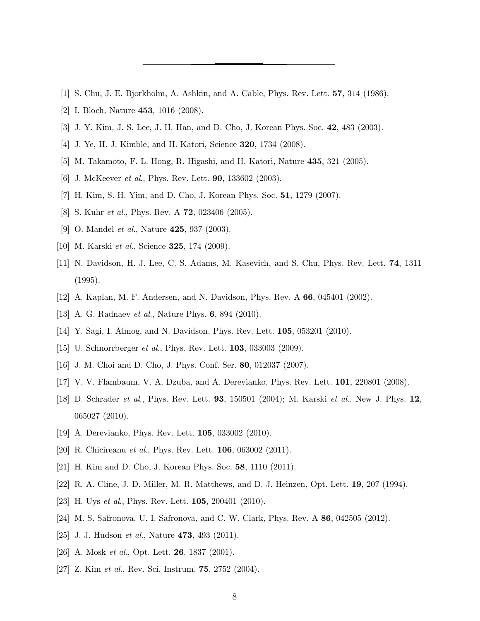- [1] S. Chu, J. E. Bjorkholm, A. Ashkin, and A. Cable, Phys. Rev. Lett. 57, 314 (1986).
- [2] I. Bloch, Nature 453, 1016 (2008).
- [3] J. Y. Kim, J. S. Lee, J. H. Han, and D. Cho, J. Korean Phys. Soc. 42, 483 (2003).
- [4] J. Ye, H. J. Kimble, and H. Katori, Science 320, 1734 (2008).
- [5] M. Takamoto, F. L. Hong, R. Higashi, and H. Katori, Nature 435, 321 (2005).
- [6] J. McKeever *et al.*, Phys. Rev. Lett. **90**, 133602 (2003).
- [7] H. Kim, S. H. Yim, and D. Cho, J. Korean Phys. Soc. 51, 1279 (2007).
- [8] S. Kuhr *et al.*, Phys. Rev. A **72**, 023406 (2005).
- [9] O. Mandel *et al.*, Nature **425**, 937 (2003).
- [10] M. Karski *et al.*, Science **325**, 174 (2009).
- [11] N. Davidson, H. J. Lee, C. S. Adams, M. Kasevich, and S. Chu, Phys. Rev. Lett. **74**, 1311 (1995).
- [12] A. Kaplan, M. F. Andersen, and N. Davidson, Phys. Rev. A 66, 045401 (2002).
- [13] A. G. Radnaev *et al.*, Nature Phys. **6**, 894 (2010).
- [14] Y. Sagi, I. Almog, and N. Davidson, Phys. Rev. Lett. 105, 053201 (2010).
- [15] U. Schnorrberger et al., Phys. Rev. Lett. **103**, 033003 (2009).
- [16] J. M. Choi and D. Cho, J. Phys. Conf. Ser. 80, 012037 (2007).
- [17] V. V. Flambaum, V. A. Dzuba, and A. Derevianko, Phys. Rev. Lett. 101, 220801 (2008).
- [18] D. Schrader et al., Phys. Rev. Lett. 93, 150501 (2004); M. Karski et al., New J. Phys. 12, 065027 (2010).
- [19] A. Derevianko, Phys. Rev. Lett. 105, 033002 (2010).
- [20] R. Chicireanu et al., Phys. Rev. Lett. **106**, 063002 (2011).
- <span id="page-7-0"></span>[21] H. Kim and D. Cho, J. Korean Phys. Soc. 58, 1110 (2011).
- <span id="page-7-1"></span>[22] R. A. Cline, J. D. Miller, M. R. Matthews, and D. J. Heinzen, Opt. Lett. 19, 207 (1994).
- <span id="page-7-2"></span>[23] H. Uys et al., Phys. Rev. Lett. **105**, 200401 (2010).
- [24] M. S. Safronova, U. I. Safronova, and C. W. Clark, Phys. Rev. A 86, 042505 (2012).
- <span id="page-7-3"></span>[25] J. J. Hudson *et al.*, Nature **473**, 493 (2011).
- <span id="page-7-4"></span>[26] A. Mosk *et al.*, Opt. Lett. **26**, 1837 (2001).
- <span id="page-7-5"></span>[27] Z. Kim et al., Rev. Sci. Instrum. 75, 2752 (2004).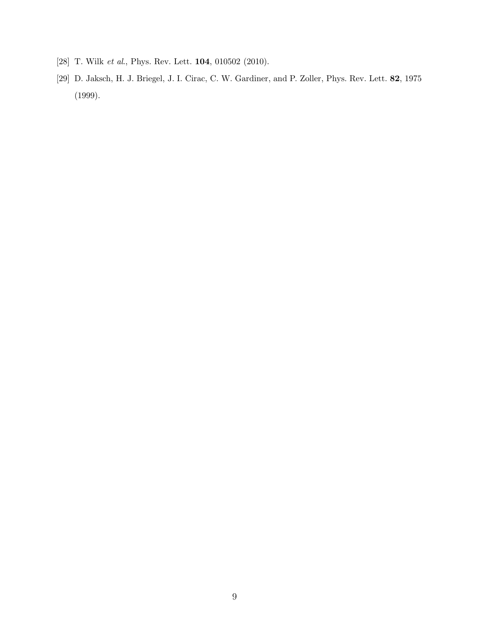- [28] T. Wilk et al., Phys. Rev. Lett. **104**, 010502 (2010).
- [29] D. Jaksch, H. J. Briegel, J. I. Cirac, C. W. Gardiner, and P. Zoller, Phys. Rev. Lett. 82, 1975 (1999).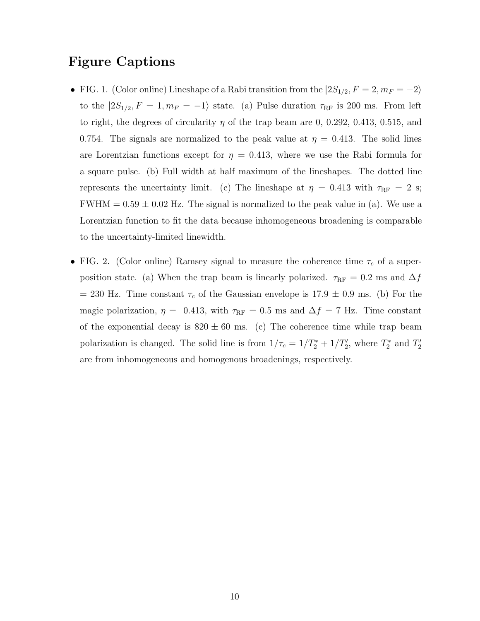## Figure Captions

- FIG. 1. (Color online) Lineshape of a Rabi transition from the  $|2S_{1/2}, F = 2, m_F = -2\rangle$ to the  $|2S_{1/2}, F = 1, m_F = -1\rangle$  state. (a) Pulse duration  $\tau_{\rm RF}$  is 200 ms. From left to right, the degrees of circularity  $\eta$  of the trap beam are 0, 0.292, 0.413, 0.515, and 0.754. The signals are normalized to the peak value at  $\eta = 0.413$ . The solid lines are Lorentzian functions except for  $\eta = 0.413$ , where we use the Rabi formula for a square pulse. (b) Full width at half maximum of the lineshapes. The dotted line represents the uncertainty limit. (c) The lineshape at  $\eta = 0.413$  with  $\tau_{RF} = 2$  s; FWHM =  $0.59 \pm 0.02$  Hz. The signal is normalized to the peak value in (a). We use a Lorentzian function to fit the data because inhomogeneous broadening is comparable to the uncertainty-limited linewidth.
- FIG. 2. (Color online) Ramsey signal to measure the coherence time  $\tau_c$  of a superposition state. (a) When the trap beam is linearly polarized.  $\tau_{RF} = 0.2$  ms and  $\Delta f$ = 230 Hz. Time constant  $\tau_c$  of the Gaussian envelope is 17.9  $\pm$  0.9 ms. (b) For the magic polarization,  $\eta = 0.413$ , with  $\tau_{\rm RF} = 0.5$  ms and  $\Delta f = 7$  Hz. Time constant of the exponential decay is  $820 \pm 60$  ms. (c) The coherence time while trap beam polarization is changed. The solid line is from  $1/\tau_c = 1/T_2^* + 1/T_2'$ , where  $T_2^*$  $T_2^*$  and  $T_2'$ 2 are from inhomogeneous and homogenous broadenings, respectively.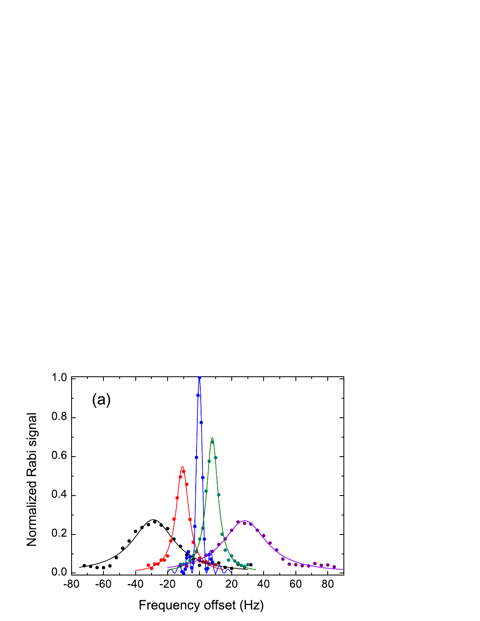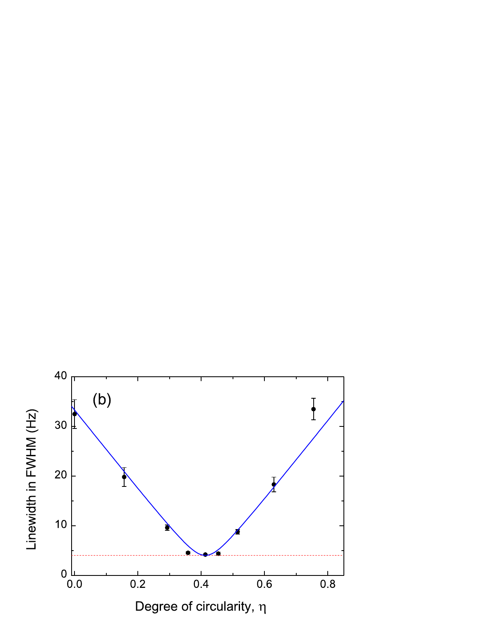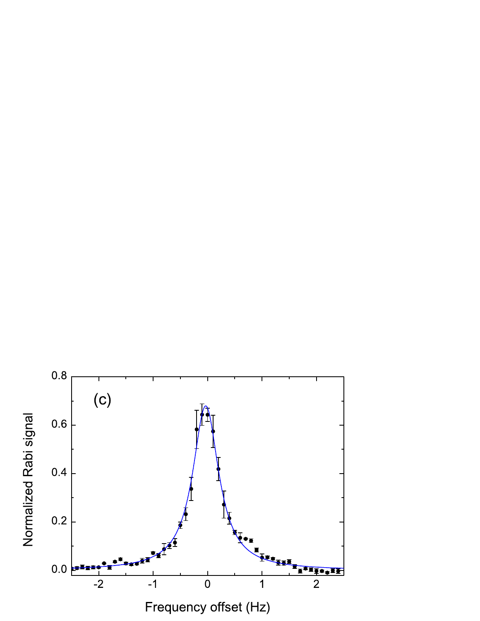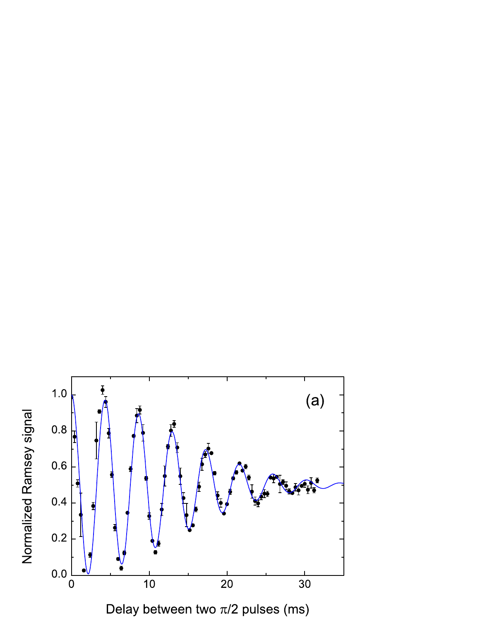

Delay between two  $\pi/2$  pulses (ms)

Normalized Ramsey signal Normalized Ramsey signal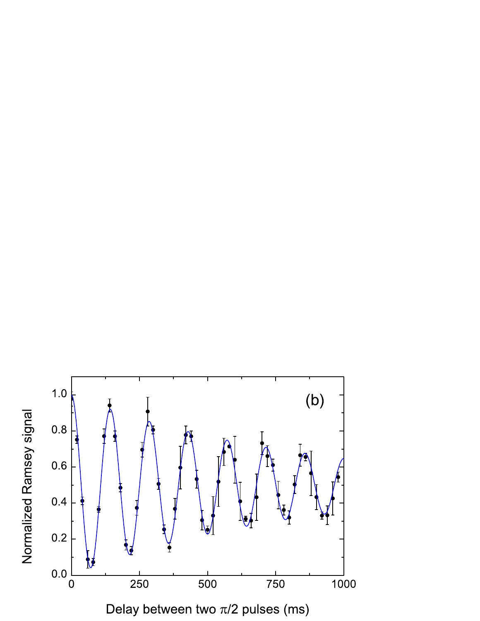

Delay between two  $\pi/2$  pulses (ms)

Normalized Ramsey signal Normalized Ramsey signal